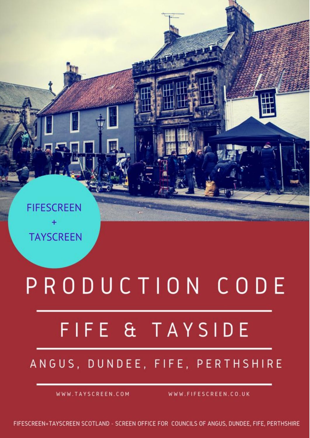**Thank you for community to Figure 2012 1999 and Tayside, Scotland Tayside, Scotland Tayside, Scotland Tayside, Scotland Be Safe, Be Insured and Care for People and Locations**

## **Screen Office for the Councils of Angus, Dundee City, Fife and Perth & Kinross**

**Screen Commission for Figure 31 and Tayside** 

**Production Code** 

**01.01.2015**

**We are here to help you**

## **European Film commission Network Scottish Locations Network**

ANGUS, DUNDEE, FIFE, PERTHSHIRE

[info@tayscreen.com](mailto:info@tayscreen.com)

WWW.TAYSCREEN.COM

WWW.FIFESCREEN.CO.UK

FIFESCREEN+TAYSCREEN SCOTLAND - SCREEN OFFICE FOR COUNCILS OF ANGUS, DUNDEE, FIFE, PERTHSHIRE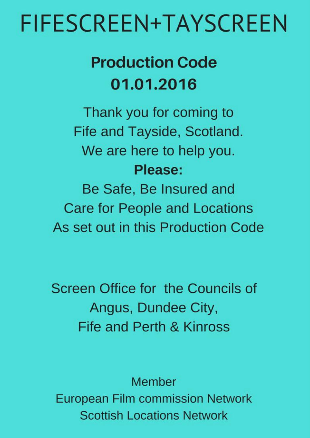## **Production Code** 01.01.2016

Thank you for coming to Fife and Tayside, Scotland. We are here to help you. Please:

Be Safe, Be Insured and **Care for People and Locations** As set out in this Production Code

Screen Office for the Councils of Angus, Dundee City, **Fife and Perth & Kinross** 

Member **European Film commission Network Scottish Locations Network** © FifeScreen+TayScreen 2002-2016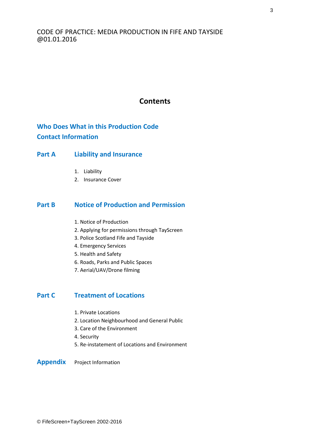## **Contents**

**Who Does What in this Production Code Contact Information**

## **Part A Liability and Insurance**

- 1. Liability
- 2. Insurance Cover

## **Part B Notice of Production and Permission**

- 1. Notice of Production
- 2. Applying for permissions through TayScreen
- 3. Police Scotland Fife and Tayside
- 4. Emergency Services
- 5. Health and Safety
- 6. Roads, Parks and Public Spaces
- 7. Aerial/UAV/Drone filming

## **Part C Treatment of Locations**

- 1. Private Locations
- 2. Location Neighbourhood and General Public
- 3. Care of the Environment
- 4. Security
- 5. Re-instatement of Locations and Environment

#### **Appendix** Project Information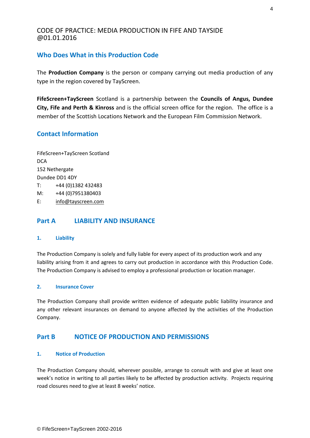## **Who Does What in this Production Code**

The **Production Company** is the person or company carrying out media production of any type in the region covered by TayScreen.

**FifeScreen+TayScreen** Scotland is a partnership between the **Councils of Angus, Dundee City, Fife and Perth & Kinross** and is the official screen office for the region. The office is a member of the Scottish Locations Network and the European Film Commission Network.

## **Contact Information**

FifeScreen+TayScreen Scotland **DCA** 152 Nethergate Dundee DD1 4DY T: +44 (0)1382 432483 M: +44 (0)7951380403 E: [info@tayscreen.com](mailto:info@tayscreen.com)

## **Part A LIABILITY AND INSURANCE**

#### **1. Liability**

The Production Company is solely and fully liable for every aspect of its production work and any liability arising from it and agrees to carry out production in accordance with this Production Code. The Production Company is advised to employ a professional production or location manager.

#### **2. Insurance Cover**

The Production Company shall provide written evidence of adequate public liability insurance and any other relevant insurances on demand to anyone affected by the activities of the Production Company.

### **Part B NOTICE OF PRODUCTION AND PERMISSIONS**

#### **1. Notice of Production**

The Production Company should, wherever possible, arrange to consult with and give at least one week's notice in writing to all parties likely to be affected by production activity. Projects requiring road closures need to give at least 8 weeks' notice.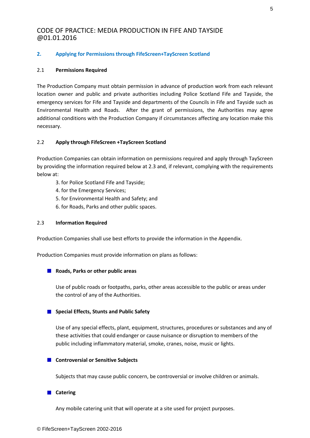#### **2. Applying for Permissions through FifeScreen+TayScreen Scotland**

#### 2.1 **Permissions Required**

The Production Company must obtain permission in advance of production work from each relevant location owner and public and private authorities including Police Scotland Fife and Tayside, the emergency services for Fife and Tayside and departments of the Councils in Fife and Tayside such as Environmental Health and Roads. After the grant of permissions, the Authorities may agree additional conditions with the Production Company if circumstances affecting any location make this necessary.

#### 2.2 **Apply through FifeScreen +TayScreen Scotland**

Production Companies can obtain information on permissions required and apply through TayScreen by providing the information required below at 2.3 and, if relevant, complying with the requirements below at:

- 3. for Police Scotland Fife and Tayside;
- 4. for the Emergency Services;
- 5. for Environmental Health and Safety; and
- 6. for Roads, Parks and other public spaces.

#### 2.3 **Information Required**

Production Companies shall use best efforts to provide the information in the Appendix.

Production Companies must provide information on plans as follows:

#### **Roads, Parks or other public areas**

Use of public roads or footpaths, parks, other areas accessible to the public or areas under the control of any of the Authorities.

#### ■ Special Effects, Stunts and Public Safety

Use of any special effects, plant, equipment, structures, procedures or substances and any of these activities that could endanger or cause nuisance or disruption to members of the public including inflammatory material, smoke, cranes, noise, music or lights.

#### **E** Controversial or Sensitive Subjects

Subjects that may cause public concern, be controversial or involve children or animals.

#### **Catering**

Any mobile catering unit that will operate at a site used for project purposes.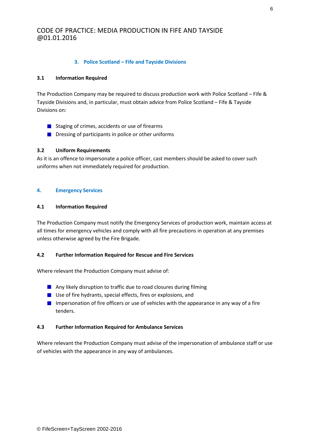#### **3. Police Scotland – Fife and Tayside Divisions**

#### **3.1 Information Required**

The Production Company may be required to discuss production work with Police Scotland – Fife & Tayside Divisions and, in particular, must obtain advice from Police Scotland – Fife & Tayside Divisions on:

- **■** Staging of crimes, accidents or use of firearms
- **Dressing of participants in police or other uniforms**

#### **3.2 Uniform Requirements**

As it is an offence to impersonate a police officer, cast members should be asked to cover such uniforms when not immediately required for production.

#### **4. Emergency Services**

#### **4.1 Information Required**

The Production Company must notify the Emergency Services of production work, maintain access at all times for emergency vehicles and comply with all fire precautions in operation at any premises unless otherwise agreed by the Fire Brigade.

#### **4.2 Further Information Required for Rescue and Fire Services**

Where relevant the Production Company must advise of:

- **Any likely disruption to traffic due to road closures during filming**
- Use of fire hydrants, special effects, fires or explosions, and
- **Impersonation of fire officers or use of vehicles with the appearance in any way of a fire** tenders.

#### **4.3 Further Information Required for Ambulance Services**

Where relevant the Production Company must advise of the impersonation of ambulance staff or use of vehicles with the appearance in any way of ambulances.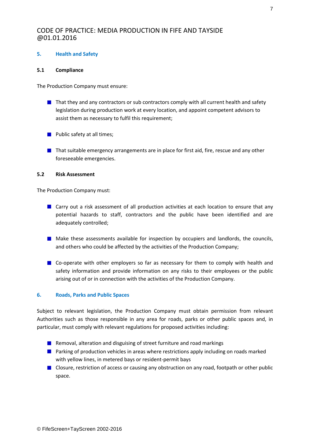#### **5. Health and Safety**

#### **5.1 Compliance**

The Production Company must ensure:

- $\blacksquare$  That they and any contractors or sub contractors comply with all current health and safety legislation during production work at every location, and appoint competent advisors to assist them as necessary to fulfil this requirement;
- **Public safety at all times;**
- **That suitable emergency arrangements are in place for first aid, fire, rescue and any other** foreseeable emergencies.

#### **5.2 Risk Assessment**

The Production Company must:

- **E** Carry out a risk assessment of all production activities at each location to ensure that any potential hazards to staff, contractors and the public have been identified and are adequately controlled;
- **Make these assessments available for inspection by occupiers and landlords, the councils,** and others who could be affected by the activities of the Production Company;
- Co-operate with other employers so far as necessary for them to comply with health and safety information and provide information on any risks to their employees or the public arising out of or in connection with the activities of the Production Company.

#### **6. Roads, Parks and Public Spaces**

Subject to relevant legislation, the Production Company must obtain permission from relevant Authorities such as those responsible in any area for roads, parks or other public spaces and, in particular, must comply with relevant regulations for proposed activities including:

- Removal, alteration and disguising of street furniture and road markings
- **Parking of production vehicles in areas where restrictions apply including on roads marked** with yellow lines, in metered bays or resident-permit bays
- **Closure, restriction of access or causing any obstruction on any road, footpath or other public** space.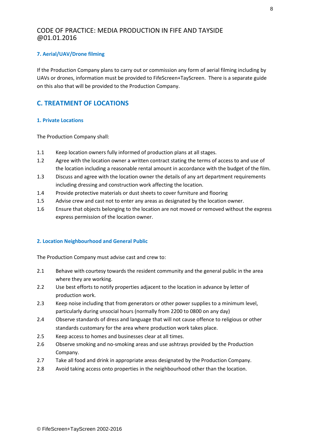#### **7. Aerial/UAV/Drone filming**

If the Production Company plans to carry out or commission any form of aerial filming including by UAVs or drones, information must be provided to FifeScreen+TayScreen. There is a separate guide on this also that will be provided to the Production Company.

## **C. TREATMENT OF LOCATIONS**

#### **1. Private Locations**

The Production Company shall:

- 1.1 Keep location owners fully informed of production plans at all stages.
- 1.2 Agree with the location owner a written contract stating the terms of access to and use of the location including a reasonable rental amount in accordance with the budget of the film.
- 1.3 Discuss and agree with the location owner the details of any art department requirements including dressing and construction work affecting the location.
- 1.4 Provide protective materials or dust sheets to cover furniture and flooring
- 1.5 Advise crew and cast not to enter any areas as designated by the location owner.
- 1.6 Ensure that objects belonging to the location are not moved or removed without the express express permission of the location owner.

#### **2. Location Neighbourhood and General Public**

The Production Company must advise cast and crew to:

- 2.1 Behave with courtesy towards the resident community and the general public in the area where they are working.
- 2.2 Use best efforts to notify properties adjacent to the location in advance by letter of production work.
- 2.3 Keep noise including that from generators or other power supplies to a minimum level, particularly during unsocial hours (normally from 2200 to 0800 on any day)
- 2.4 Observe standards of dress and language that will not cause offence to religious or other standards customary for the area where production work takes place.
- 2.5 Keep access to homes and businesses clear at all times.
- 2.6 Observe smoking and no-smoking areas and use ashtrays provided by the Production Company.
- 2.7 Take all food and drink in appropriate areas designated by the Production Company.
- 2.8 Avoid taking access onto properties in the neighbourhood other than the location.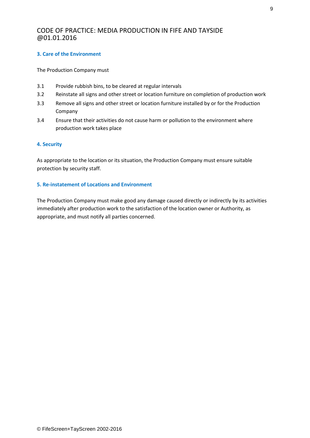#### **3. Care of the Environment**

The Production Company must

- 3.1 Provide rubbish bins, to be cleared at regular intervals
- 3.2 Reinstate all signs and other street or location furniture on completion of production work
- 3.3 Remove all signs and other street or location furniture installed by or for the Production Company
- 3.4 Ensure that their activities do not cause harm or pollution to the environment where production work takes place

#### **4. Security**

As appropriate to the location or its situation, the Production Company must ensure suitable protection by security staff.

#### **5. Re-instatement of Locations and Environment**

The Production Company must make good any damage caused directly or indirectly by its activities immediately after production work to the satisfaction of the location owner or Authority, as appropriate, and must notify all parties concerned.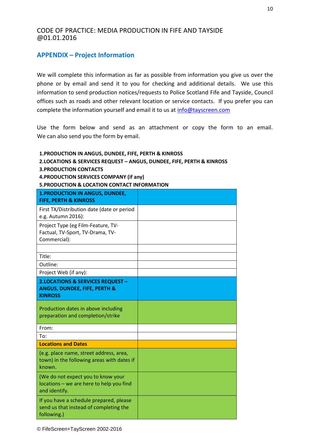## **APPENDIX – Project Information**

We will complete this information as far as possible from information you give us over the phone or by email and send it to you for checking and additional details. We use this information to send production notices/requests to Police Scotland Fife and Tayside, Council offices such as roads and other relevant location or service contacts. If you prefer you can complete the information yourself and email it to us at info@tayscreen.com

Use the form below and send as an attachment or copy the form to an email. We can also send you the form by email.

| 2.LOCATIONS & SERVICES REQUEST - ANGUS, DUNDEE, FIFE, PERTH & KINROSS<br><b>3. PRODUCTION CONTACTS</b><br>4. PRODUCTION SERVICES COMPANY (if any)<br><b>5.PRODUCTION &amp; LOCATION CONTACT INFORMATION</b> |  |
|-------------------------------------------------------------------------------------------------------------------------------------------------------------------------------------------------------------|--|
| <b>1.PRODUCTION IN ANGUS, DUNDEE,</b><br><b>FIFE, PERTH &amp; KINROSS</b>                                                                                                                                   |  |
| First TX/Distribution date (date or period<br>e.g. Autumn 2016):                                                                                                                                            |  |
| Project Type (eg Film-Feature, TV-<br>Factual, TV-Sport, TV-Drama, TV-<br>Commercial):                                                                                                                      |  |
| Title:                                                                                                                                                                                                      |  |
| Outline:                                                                                                                                                                                                    |  |
| Project Web (if any):                                                                                                                                                                                       |  |
| <b>2.LOCATIONS &amp; SERVICES REQUEST -</b><br><b>ANGUS, DUNDEE, FIFE, PERTH &amp;</b><br><b>KINROSS</b>                                                                                                    |  |
| Production dates in above including<br>preparation and completion/strike                                                                                                                                    |  |
| From:                                                                                                                                                                                                       |  |
| To:                                                                                                                                                                                                         |  |
| <b>Locations and Dates</b>                                                                                                                                                                                  |  |
| (e.g. place name, street address, area,<br>town) in the following areas with dates if<br>known.                                                                                                             |  |
| (We do not expect you to know your<br>locations - we are here to help you find<br>and identify.                                                                                                             |  |
| If you have a schedule prepared, please<br>send us that instead of completing the<br>following.)                                                                                                            |  |

**1.PRODUCTION IN ANGUS, DUNDEE, FIFE, PERTH & KINROSS**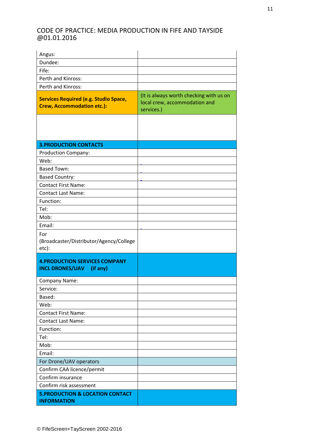| Angus:                                                                            |                                                                                        |
|-----------------------------------------------------------------------------------|----------------------------------------------------------------------------------------|
| Dundee:                                                                           |                                                                                        |
| Fife:                                                                             |                                                                                        |
| Perth and Kinross:                                                                |                                                                                        |
| Perth and Kinross:                                                                |                                                                                        |
| <b>Services Required (e.g. Studio Space,</b><br><b>Crew, Accommodation etc.):</b> | (It is always worth checking with us on<br>local crew, accommodation and<br>services.) |
|                                                                                   |                                                                                        |
| <b>3. PRODUCTION CONTACTS</b>                                                     |                                                                                        |
| <b>Production Company:</b>                                                        |                                                                                        |
| Web:                                                                              |                                                                                        |
| <b>Based Town:</b>                                                                |                                                                                        |
| <b>Based Country:</b>                                                             |                                                                                        |
| <b>Contact First Name:</b>                                                        |                                                                                        |
| <b>Contact Last Name:</b>                                                         |                                                                                        |
| Function:                                                                         |                                                                                        |
| Tel:                                                                              |                                                                                        |
| Mob:                                                                              |                                                                                        |
| Email:                                                                            |                                                                                        |
| For<br>(Broadcaster/Distributor/Agency/College<br>etc):                           |                                                                                        |
| <b>4. PRODUCTION SERVICES COMPANY</b><br><b>INCL DRONES/UAV</b><br>(if any)       |                                                                                        |
| <b>Company Name:</b>                                                              |                                                                                        |
| Service:                                                                          |                                                                                        |
| Based:                                                                            |                                                                                        |
| Web:                                                                              |                                                                                        |
| <b>Contact First Name:</b>                                                        |                                                                                        |
| <b>Contact Last Name:</b>                                                         |                                                                                        |
| Function:                                                                         |                                                                                        |
| Tel:                                                                              |                                                                                        |
| Mob:                                                                              |                                                                                        |
| Email:                                                                            |                                                                                        |
| For Drone/UAV operators                                                           |                                                                                        |
| Confirm CAA licence/permit                                                        |                                                                                        |
| Confirm insurance                                                                 |                                                                                        |
| Confirm risk assessment                                                           |                                                                                        |
| <b>5.PRODUCTION &amp; LOCATION CONTACT</b><br><b>INFORMATION</b>                  |                                                                                        |